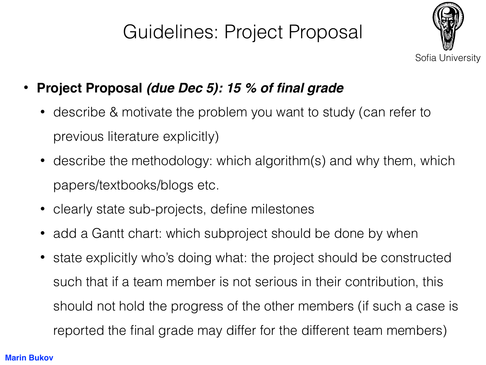## Guidelines: Project Proposal



- **Project Proposal** *(due Dec 5): 15 % of final grade*
	- describe & motivate the problem you want to study (can refer to previous literature explicitly)
	- describe the methodology: which algorithm(s) and why them, which papers/textbooks/blogs etc.
	- clearly state sub-projects, define milestones
	- add a Gantt chart: which subproject should be done by when
	- state explicitly who's doing what: the project should be constructed such that if a team member is not serious in their contribution, this should not hold the progress of the other members (if such a case is reported the final grade may differ for the different team members)

## **Marin Bukov**